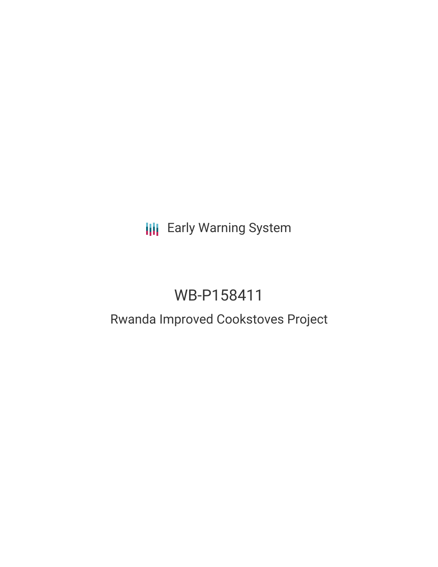**III** Early Warning System

# WB-P158411

## Rwanda Improved Cookstoves Project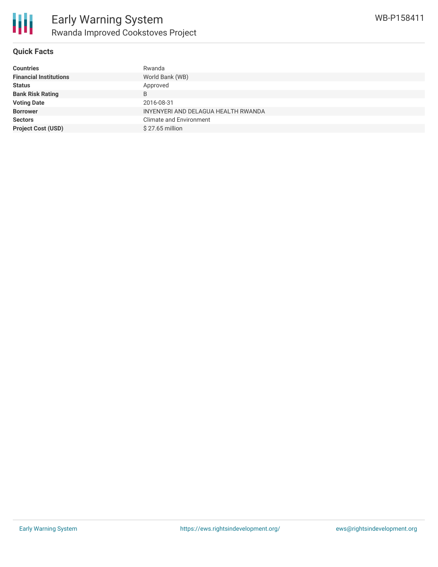

#### **Quick Facts**

| <b>Countries</b>              | Rwanda                              |
|-------------------------------|-------------------------------------|
| <b>Financial Institutions</b> | World Bank (WB)                     |
| <b>Status</b>                 | Approved                            |
| <b>Bank Risk Rating</b>       | B                                   |
| <b>Voting Date</b>            | 2016-08-31                          |
| <b>Borrower</b>               | INYENYERI AND DELAGUA HEALTH RWANDA |
| <b>Sectors</b>                | <b>Climate and Environment</b>      |
| <b>Project Cost (USD)</b>     | $$27.65$ million                    |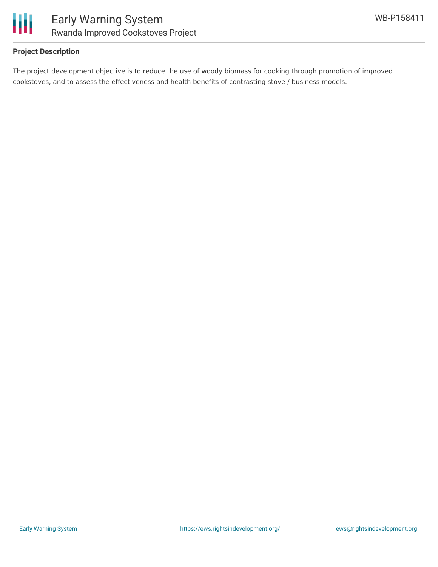

#### **Project Description**

The project development objective is to reduce the use of woody biomass for cooking through promotion of improved cookstoves, and to assess the effectiveness and health benefits of contrasting stove / business models.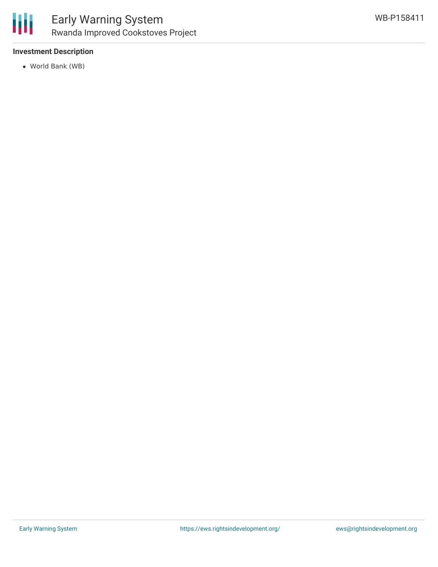#### **Investment Description**

World Bank (WB)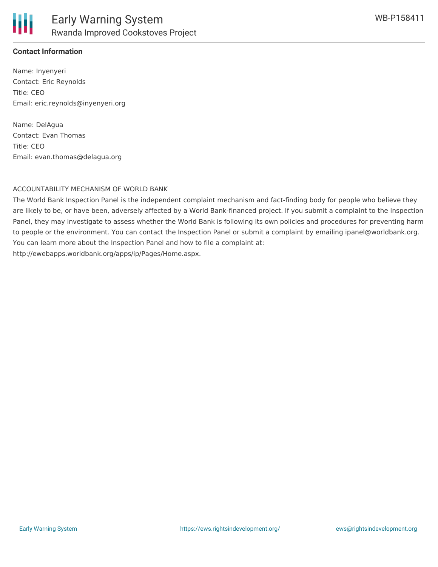#### **Contact Information**

Name: Inyenyeri Contact: Eric Reynolds Title: CEO Email: eric.reynolds@inyenyeri.org

Name: DelAgua Contact: Evan Thomas Title: CEO Email: evan.thomas@delagua.org

#### ACCOUNTABILITY MECHANISM OF WORLD BANK

The World Bank Inspection Panel is the independent complaint mechanism and fact-finding body for people who believe they are likely to be, or have been, adversely affected by a World Bank-financed project. If you submit a complaint to the Inspection Panel, they may investigate to assess whether the World Bank is following its own policies and procedures for preventing harm to people or the environment. You can contact the Inspection Panel or submit a complaint by emailing ipanel@worldbank.org. You can learn more about the Inspection Panel and how to file a complaint at: http://ewebapps.worldbank.org/apps/ip/Pages/Home.aspx.